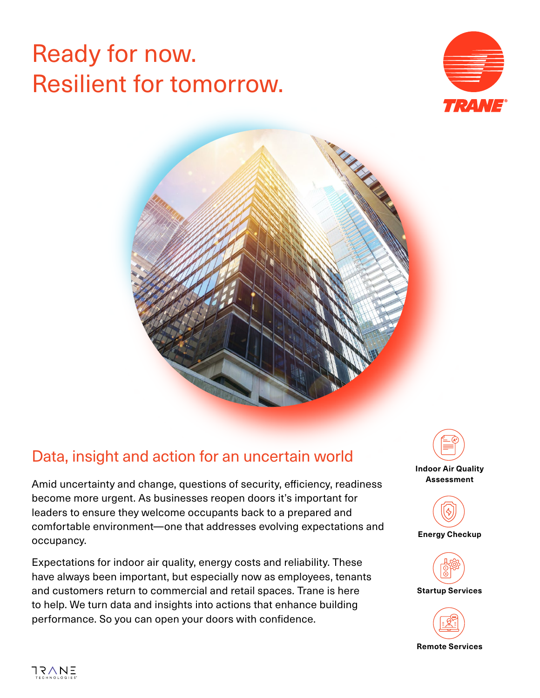# Ready for now. Resilient for tomorrow.





# Data, insight and action for an uncertain world

Amid uncertainty and change, questions of security, efficiency, readiness become more urgent. As businesses reopen doors it's important for leaders to ensure they welcome occupants back to a prepared and comfortable environment—one that addresses evolving expectations and occupancy.

Expectations for indoor air quality, energy costs and reliability. These have always been important, but especially now as employees, tenants and customers return to commercial and retail spaces. Trane is here to help. We turn data and insights into actions that enhance building performance. So you can open your doors with confidence.